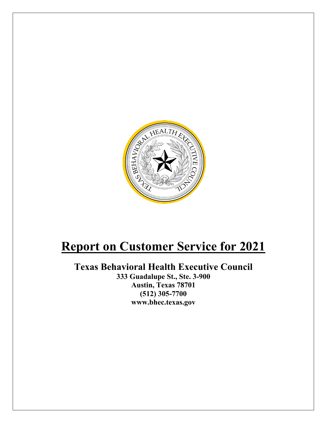

# **Report on Customer Service for 2021**

## **Texas Behavioral Health Executive Council**

**333 Guadalupe St., Ste. 3-900 Austin, Texas 78701 (512) 305-7700 www.bhec.texas.gov**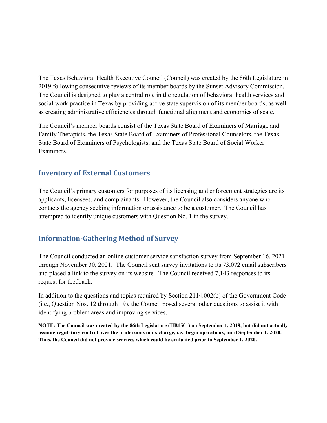The Texas Behavioral Health Executive Council (Council) was created by the 86th Legislature in 2019 following consecutive reviews of its member boards by the Sunset Advisory Commission. The Council is designed to play a central role in the regulation of behavioral health services and social work practice in Texas by providing active state supervision of its member boards, as well as creating administrative efficiencies through functional alignment and economies of scale.

The Council's member boards consist of the Texas State Board of Examiners of Marriage and Family Therapists, the Texas State Board of Examiners of Professional Counselors, the Texas State Board of Examiners of Psychologists, and the Texas State Board of Social Worker Examiners.

### **Inventory of External Customers**

The Council's primary customers for purposes of its licensing and enforcement strategies are its applicants, licensees, and complainants. However, the Council also considers anyone who contacts the agency seeking information or assistance to be a customer. The Council has attempted to identify unique customers with Question No. 1 in the survey.

### **Information-Gathering Method of Survey**

The Council conducted an online customer service satisfaction survey from September 16, 2021 through November 30, 2021. The Council sent survey invitations to its 73,072 email subscribers and placed a link to the survey on its website. The Council received 7,143 responses to its request for feedback.

In addition to the questions and topics required by Section 2114.002(b) of the Government Code (i.e., Question Nos. 12 through 19), the Council posed several other questions to assist it with identifying problem areas and improving services.

**NOTE: The Council was created by the 86th Legislature (HB1501) on September 1, 2019, but did not actually assume regulatory control over the professions in its charge, i.e., begin operations, until September 1, 2020. Thus, the Council did not provide services which could be evaluated prior to September 1, 2020.**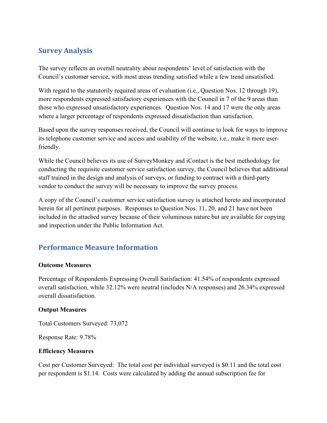### **Survey Analysis**

The survey reflects an overall neutrality about respondents' level of satisfaction with the Council's customer service, with most areas trending satisfied while a few trend unsatisfied.

With regard to the statutorily required areas of evaluation (i.e., Question Nos. 12 through 19), more respondents expressed satisfactory experiences with the Council in 7 of the 9 areas than those who expressed unsatisfactory experiences. Question Nos. 14 and 17 were the only areas where a larger percentage of respondents expressed dissatisfaction than satisfaction.

Based upon the survey responses received, the Council will continue to look for ways to improve its telephone customer service and access and usability of the website, i.e., make it more userfriendly.

While the Council believes its use of SurveyMonkey and iContact is the best methodology for conducting the requisite customer service satisfaction survey, the Council believes that additional staff trained in the design and analysis of surveys, or funding to contract with a third-party vendor to conduct the survey will be necessary to improve the survey process.

A copy of the Council's customer service satisfaction survey is attached hereto and incorporated herein for all pertinent purposes. Responses to Question Nos. 11, 20, and 21 have not been included in the attached survey because of their voluminous nature but are available for copying and inspection under the Public Information Act.

### **Performance Measure Information**

### **Outcome Measures**

Percentage of Respondents Expressing Overall Satisfaction: 41.54% of respondents expressed overall satisfaction, while 32.12% were neutral (includes N/A responses) and 26.34% expressed overall dissatisfaction.

### **Output Measures**

Total Customers Surveyed: 73,072

Response Rate: 9.78%

### **Efficiency Measures**

Cost per Customer Surveyed: The total cost per individual surveyed is \$0.11 and the total cost per respondent is \$1.14. Costs were calculated by adding the annual subscription fee for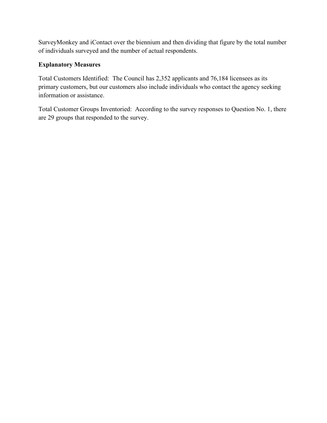SurveyMonkey and iContact over the biennium and then dividing that figure by the total number of individuals surveyed and the number of actual respondents.

### **Explanatory Measures**

Total Customers Identified: The Council has 2,352 applicants and 76,184 licensees as its primary customers, but our customers also include individuals who contact the agency seeking information or assistance.

Total Customer Groups Inventoried: According to the survey responses to Question No. 1, there are 29 groups that responded to the survey.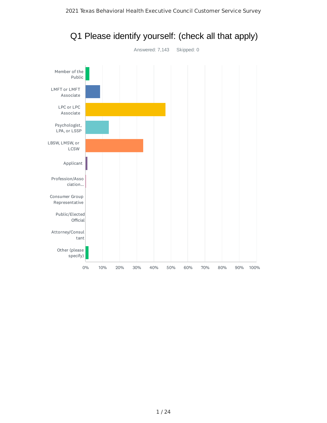

## Q1 Please identify yourself: (check all that apply)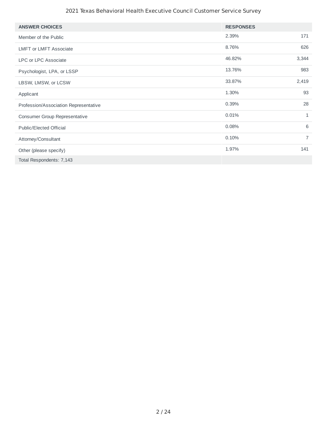### 2021 Texas Behavioral Health Executive Council Customer Service Survey

| <b>ANSWER CHOICES</b>                 | <b>RESPONSES</b> |                |
|---------------------------------------|------------------|----------------|
| Member of the Public                  | 2.39%            | 171            |
| <b>LMFT or LMFT Associate</b>         | 8.76%            | 626            |
| <b>LPC or LPC Associate</b>           | 46.82%           | 3,344          |
| Psychologist, LPA, or LSSP            | 13.76%           | 983            |
| LBSW, LMSW, or LCSW                   | 33.87%           | 2,419          |
| Applicant                             | 1.30%            | 93             |
| Profession/Association Representative | 0.39%            | 28             |
| <b>Consumer Group Representative</b>  | 0.01%            | $\mathbf{1}$   |
| <b>Public/Elected Official</b>        | 0.08%            | 6              |
| Attorney/Consultant                   | 0.10%            | $\overline{7}$ |
| Other (please specify)                | 1.97%            | 141            |
| Total Respondents: 7,143              |                  |                |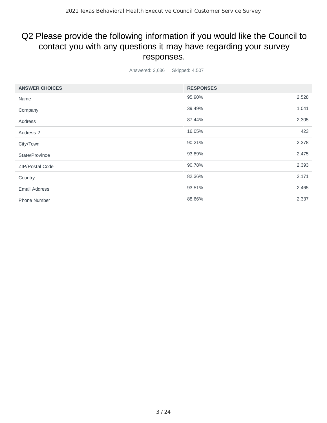## Q2 Please provide the following information if you would like the Council to contact you with any questions it may have regarding your survey responses.

Answered: 2,636 Skipped: 4,507

| <b>ANSWER CHOICES</b>  | <b>RESPONSES</b> |       |
|------------------------|------------------|-------|
| Name                   | 95.90%           | 2,528 |
| Company                | 39.49%           | 1,041 |
| Address                | 87.44%           | 2,305 |
| Address 2              | 16.05%           | 423   |
| City/Town              | 90.21%           | 2,378 |
| State/Province         | 93.89%           | 2,475 |
| <b>ZIP/Postal Code</b> | 90.78%           | 2,393 |
| Country                | 82.36%           | 2,171 |
| <b>Email Address</b>   | 93.51%           | 2,465 |
| <b>Phone Number</b>    | 88.66%           | 2,337 |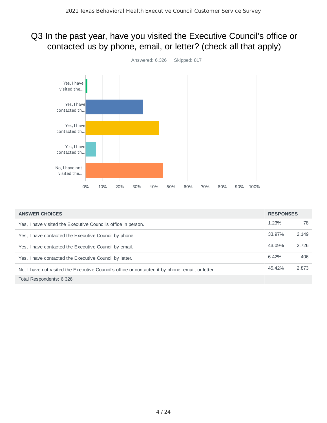## Q3 In the past year, have you visited the Executive Council's office or contacted us by phone, email, or letter? (check all that apply)



| <b>ANSWER CHOICES</b>                                                                             | <b>RESPONSES</b> |       |
|---------------------------------------------------------------------------------------------------|------------------|-------|
| Yes, I have visited the Executive Council's office in person.                                     | 1.23%            | 78    |
| Yes, I have contacted the Executive Council by phone.                                             | 33.97%           | 2,149 |
| Yes, I have contacted the Executive Council by email.                                             | 43.09%           | 2.726 |
| Yes, I have contacted the Executive Council by letter.                                            | 6.42%            | 406   |
| No, I have not visited the Executive Council's office or contacted it by phone, email, or letter. | 45.42%           | 2,873 |
| Total Respondents: 6,326                                                                          |                  |       |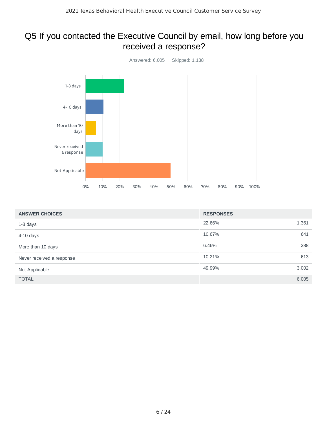## Q5 If you contacted the Executive Council by email, how long before you received a response?



| <b>ANSWER CHOICES</b>     | <b>RESPONSES</b> |     |
|---------------------------|------------------|-----|
| 1-3 days                  | 1,361<br>22.66%  |     |
| $4-10$ days               | 641<br>10.67%    |     |
| More than 10 days         | 6.46%            | 388 |
| Never received a response | 10.21%<br>613    |     |
| Not Applicable            | 49.99%<br>3,002  |     |
| <b>TOTAL</b>              | 6,005            |     |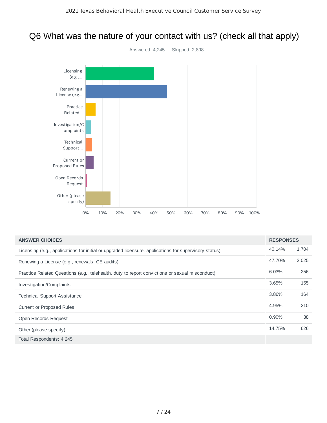## Q6 What was the nature of your contact with us? (check all that apply)



| <b>ANSWER CHOICES</b>                                                                                 | <b>RESPONSES</b> |       |
|-------------------------------------------------------------------------------------------------------|------------------|-------|
| Licensing (e.g., applications for initial or upgraded licensure, applications for supervisory status) | 40.14%           | 1,704 |
| Renewing a License (e.g., renewals, CE audits)                                                        | 47.70%           | 2,025 |
| Practice Related Questions (e.g., telehealth, duty to report convictions or sexual misconduct)        | 6.03%            | 256   |
| Investigation/Complaints                                                                              | 3.65%            | 155   |
| <b>Technical Support Assistance</b>                                                                   | 3.86%            | 164   |
| <b>Current or Proposed Rules</b>                                                                      | 4.95%            | 210   |
| Open Records Request                                                                                  | 0.90%            | 38    |
| Other (please specify)                                                                                | 14.75%           | 626   |
| Total Respondents: 4,245                                                                              |                  |       |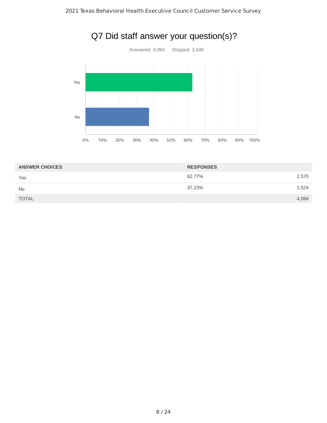

## Q7 Did staff answer your question(s)?

| <b>ANSWER CHOICES</b> | <b>RESPONSES</b> |       |
|-----------------------|------------------|-------|
| Yes                   | 62.77%           | 2,570 |
| <b>No</b>             | 37.23%           | 1,524 |
| <b>TOTAL</b>          |                  | 4,094 |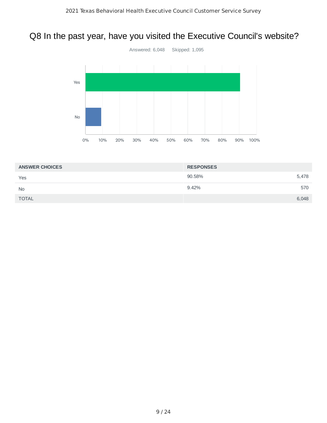## Q8 In the past year, have you visited the Executive Council's website?



| <b>ANSWER CHOICES</b> | <b>RESPONSES</b> |
|-----------------------|------------------|
| Yes                   | 90.58%<br>5,478  |
| <b>No</b>             | 9.42%<br>570     |
| <b>TOTAL</b>          | 6,048            |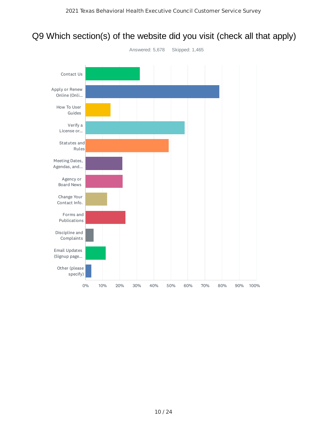## Q9 Which section(s) of the website did you visit (check all that apply)

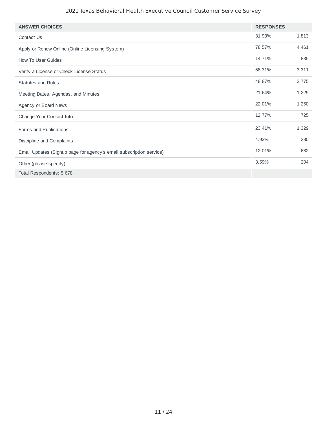### 2021 Texas Behavioral Health Executive Council Customer Service Survey

| <b>ANSWER CHOICES</b>                                               | <b>RESPONSES</b> |       |
|---------------------------------------------------------------------|------------------|-------|
| Contact Us                                                          | 31.93%           | 1,813 |
| Apply or Renew Online (Online Licensing System)                     | 78.57%           | 4,461 |
| How To User Guides                                                  | 14.71%           | 835   |
| Verify a License or Check License Status                            | 58.31%           | 3,311 |
| <b>Statutes and Rules</b>                                           | 48.87%           | 2,775 |
| Meeting Dates, Agendas, and Minutes                                 | 21.64%           | 1,229 |
| Agency or Board News                                                | 22.01%           | 1,250 |
| Change Your Contact Info.                                           | 12.77%           | 725   |
| Forms and Publications                                              | 23.41%           | 1,329 |
| Discipline and Complaints                                           | 4.93%            | 280   |
| Email Updates (Signup page for agency's email subscription service) | 12.01%           | 682   |
| Other (please specify)                                              | 3.59%            | 204   |
| Total Respondents: 5,678                                            |                  |       |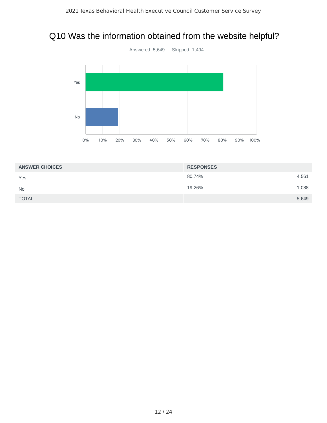## Q10 Was the information obtained from the website helpful?



| <b>ANSWER CHOICES</b> | <b>RESPONSES</b> |       |
|-----------------------|------------------|-------|
| Yes                   | 80.74%           | 4,561 |
| <b>No</b>             | 19.26%           | 1,088 |
| <b>TOTAL</b>          |                  | 5,649 |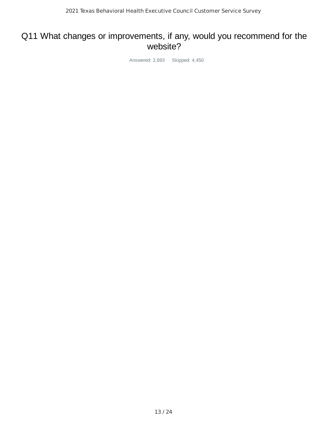### Q11 What changes or improvements, if any, would you recommend for the website?

Answered: 2,693 Skipped: 4,450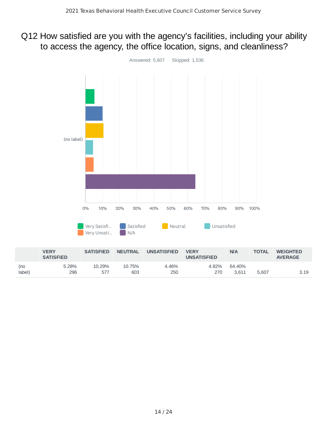## Q12 How satisfied are you with the agency's facilities, including your ability to access the agency, the office location, signs, and cleanliness?



|        | VERY<br><b>SATISFIED</b> | SAIISFIED | <b>NEUIRAL</b> | UNSAIISFIED | <b>VERY</b><br><b>UNSATISFIED</b> | <b>NIA</b> | <b>OIAL</b> | WEIGHTED<br><b>AVERAGE</b> |
|--------|--------------------------|-----------|----------------|-------------|-----------------------------------|------------|-------------|----------------------------|
| (no    | 5.28%                    | 10.29%    | 10.75%         | 4.46%       | 4.82%                             | 64.40%     |             |                            |
| label) | 296                      | 57        | 603            | 250         | 270                               | 3.611      | 5.607       | 3.19                       |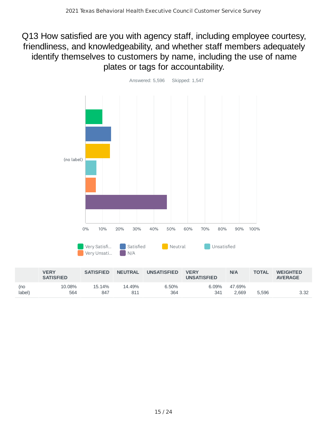## Q13 How satisfied are you with agency staff, including employee courtesy, friendliness, and knowledgeability, and whether staff members adequately identify themselves to customers by name, including the use of name plates or tags for accountability.



|                         |                      |               |              |              |                 |       | <b>AVERAGE</b> |
|-------------------------|----------------------|---------------|--------------|--------------|-----------------|-------|----------------|
| 10.08%<br>(no<br>label) | 15.14%<br>564<br>847 | 14.49%<br>811 | 6.50%<br>364 | 6.09%<br>341 | 47.69%<br>2.669 | 5.596 | 3.32           |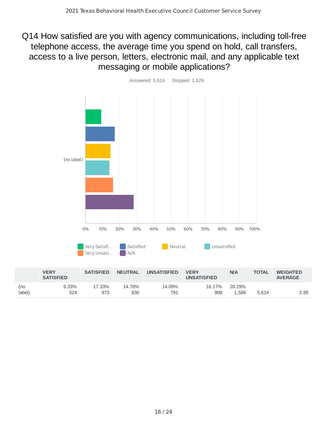Q14 How satisfied are you with agency communications, including toll-free telephone access, the average time you spend on hold, call transfers, access to a live person, letters, electronic mail, and any applicable text messaging or mobile applications?



|               | <b>VERY</b><br><b>SATISFIED</b> | <b>SATISFIED</b> | <b>NEUTRAL</b> | <b>UNSATISFIED</b> | <b>VERY</b><br><b>UNSATISFIED</b> | N/A             | <b>TOTAL</b> | <b>WEIGHTED</b><br><b>AVERAGE</b> |
|---------------|---------------------------------|------------------|----------------|--------------------|-----------------------------------|-----------------|--------------|-----------------------------------|
| (no<br>label) | 9.33%<br>524                    | 17.33%<br>973    | 14.78%<br>830  | 14.09%<br>791      | 16.17%<br>908                     | 28.29%<br>1.588 | 5.614        | 2.85                              |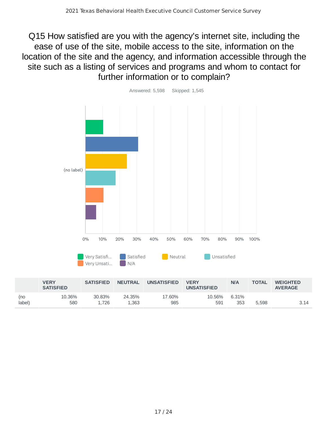Q15 How satisfied are you with the agency's internet site, including the ease of use of the site, mobile access to the site, information on the location of the site and the agency, and information accessible through the site such as a listing of services and programs and whom to contact for further information or to complain?



985

591

580

(no label)

1,726

1,363

353 5,598 3.14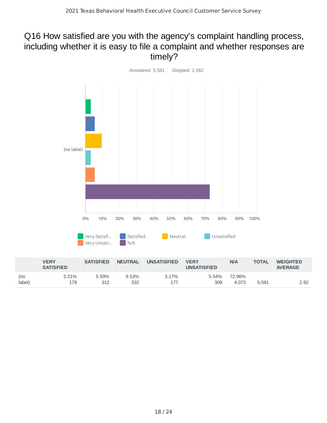## Q16 How satisfied are you with the agency's complaint handling process, including whether it is easy to file a complaint and whether responses are timely?



|                | <b>VERY</b><br><b>SATISFIED</b> | <b>SATISFIED</b> | <b>NEUTRAL</b> | <b>UNSATISFIED</b> | <b>VERY</b><br><b>UNSATISFIED</b> | N/A             | <b>TOTAL</b> | <b>WEIGHTED</b><br><b>AVERAGE</b> |
|----------------|---------------------------------|------------------|----------------|--------------------|-----------------------------------|-----------------|--------------|-----------------------------------|
| (no<br>(label) | 3.21%<br>179                    | 5.59%<br>312     | 9.53%<br>532   | 3.17%              | 5.54%<br>309                      | 72.96%<br>4.072 | 5.581        | 2.92                              |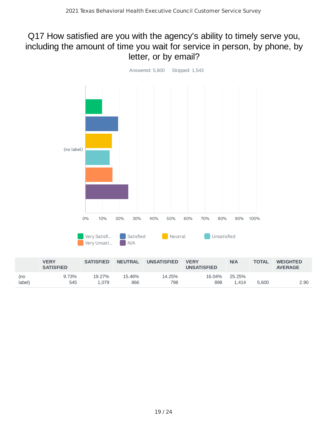## Q17 How satisfied are you with the agency's ability to timely serve you, including the amount of time you wait for service in person, by phone, by letter, or by email?



|                | <b>VERY</b><br><b>SATISFIED</b> | <b>SATISFIED</b> | <b>NEUTRAL</b> | <b>UNSATISFIED</b> | <b>VERY</b><br><b>UNSATISFIED</b> | N/A             | <b>TOTAL</b> | <b>WEIGHTED</b><br><b>AVERAGE</b> |
|----------------|---------------------------------|------------------|----------------|--------------------|-----------------------------------|-----------------|--------------|-----------------------------------|
| (no<br>(label) | 9.73%<br>545                    | 19.27%<br>1.079  | 15.46%<br>866  | 14.25%<br>798      | 16.04%<br>898                     | 25.25%<br>. 414 | 5.600        | 2.90                              |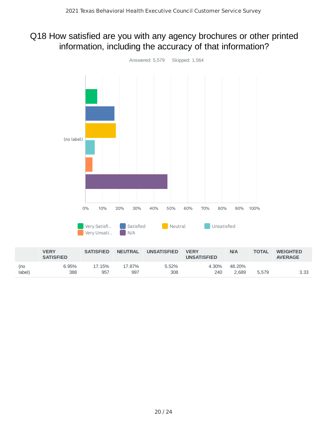## Q18 How satisfied are you with any agency brochures or other printed information, including the accuracy of that information?



|               | <b>VERY</b><br><b>SATISFIED</b> | <b>SATISFIED</b> | <b>NEUTRAL</b> | <b>UNSATISFIED</b> | <b>VERY</b><br><b>UNSATISFIED</b> | N/A             | TOTAL | <b>WEIGHTED</b><br><b>AVERAGE</b> |
|---------------|---------------------------------|------------------|----------------|--------------------|-----------------------------------|-----------------|-------|-----------------------------------|
| (no<br>label) | 6.95%<br>388                    | .7.15%<br>957    | .7.87%<br>997  | 5.52%<br>308       | 4.30%<br>240                      | 48.20%<br>2,689 | 5.579 | 3.33                              |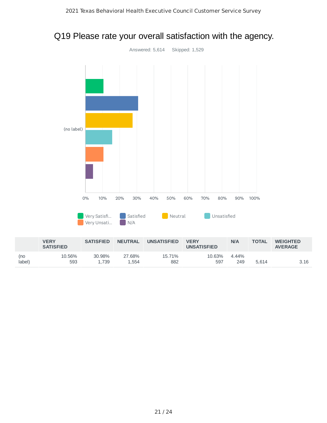## Q19 Please rate your overall satisfaction with the agency.



|                | <b>VERY</b><br><b>SATISFIED</b> | <b>SATISFIED</b> | <b>NEUTRAL</b>  | <b>UNSATISFIED</b> | <b>VERY</b><br><b>UNSATISFIED</b> | N/A          | <b>TOTAL</b> | <b>WEIGHTED</b><br><b>AVERAGE</b> |
|----------------|---------------------------------|------------------|-----------------|--------------------|-----------------------------------|--------------|--------------|-----------------------------------|
| (no<br>(label) | 10.56%<br>593                   | 30.98%<br>1.739  | 27.68%<br>1.554 | 15.71%<br>882      | 10.63%<br>597                     | 4.44%<br>249 | 5.614        | 3.16                              |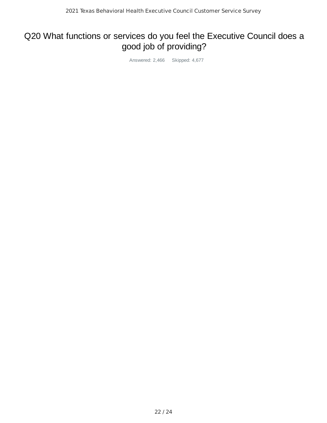## Q20 What functions or services do you feel the Executive Council does a good job of providing?

Answered: 2,466 Skipped: 4,677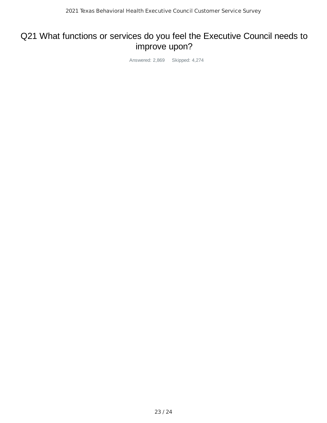## Q21 What functions or services do you feel the Executive Council needs to improve upon?

Answered: 2,869 Skipped: 4,274